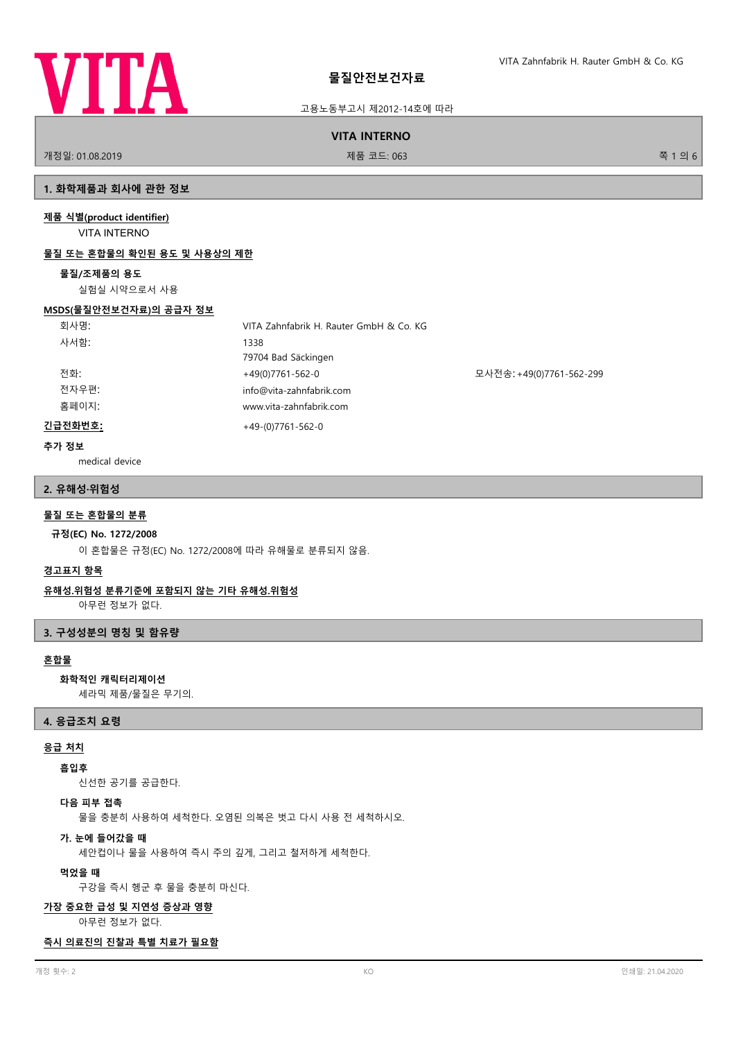

고용노동부고시 제2012-14호에 따라

**VITA INTERNO**

개정일: 01.08.2019 제품 코드: 063 쪽 1 의 6

# **1. 화학제품과 회사에 관한 정보**

# **제품 식별(product identifier)**

VITA INTERNO

# **물질 또는 혼합물의 확인된 용도 및 사용상의 제한**

# **물질/조제품의 용도**

실험실 시약으로서 사용

## **MSDS(물질안전보건자료)의 공급자 정보**

| 회사명:    | VITA Zahnfabrik H. Rauter GmbH & Co. KG |                          |
|---------|-----------------------------------------|--------------------------|
| 사서함:    | 1338                                    |                          |
|         | 79704 Bad Säckingen                     |                          |
| 전화:     | +49(0)7761-562-0                        | 모사전송: +49(0)7761-562-299 |
| 전자우편:   | info@vita-zahnfabrik.com                |                          |
| 홈페이지:   | www.vita-zahnfabrik.com                 |                          |
| 긴급전화번호: | $+49-(0)7761-562-0$                     |                          |

## **추가 정보**

medical device

## **2. 유해성·위험성**

# **물질 또는 혼합물의 분류**

## **규정(EC) No. 1272/2008**

이 혼합물은 규정(EC) No. 1272/2008에 따라 유해물로 분류되지 않음.

## **경고표지 항목**

## **유해성.위험성 분류기준에 포함되지 않는 기타 유해성.위험성**

아무런 정보가 없다.

## **3. 구성성분의 명칭 및 함유량**

# **혼합물**

## **화학적인 캐릭터리제이션**

세라믹 제품/물질은 무기의.

#### **4. 응급조치 요령**

## **응급 처치**

## **흡입후**

신선한 공기를 공급한다.

# **다음 피부 접촉**

물을 충분히 사용하여 세척한다. 오염된 의복은 벗고 다시 사용 전 세척하시오.

#### **가. 눈에 들어갔을 때**

세안컵이나 물을 사용하여 즉시 주의 깊게, 그리고 철저하게 세척한다.

#### **먹었을 때**

구강을 즉시 헹군 후 물을 충분히 마신다.

## **가장 중요한 급성 및 지연성 증상과 영향**

아무런 정보가 없다.

## **즉시 의료진의 진찰과 특별 치료가 필요함**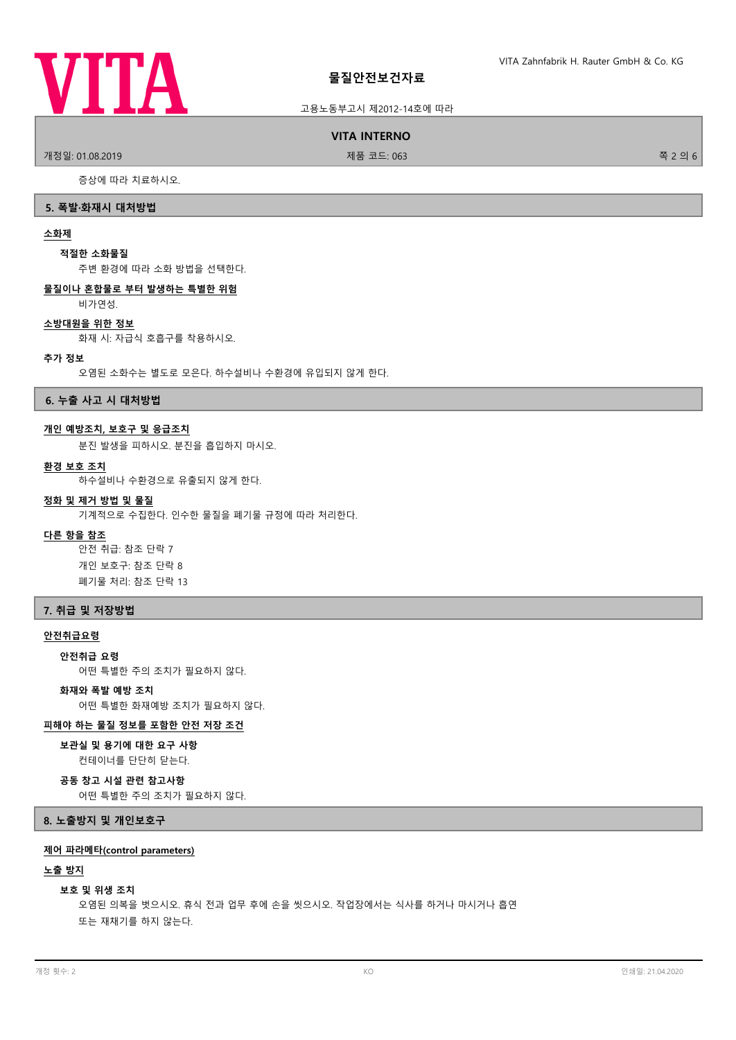

## 고용노동부고시 제2012-14호에 따라

#### **VITA INTERNO**

.<br>개정일: 01.08.2019 제품 프로그램을 제품 코드: 063 경기 기능을 하는 것이 좋은 것이 좋은 것이 없다.

증상에 따라 치료하시오.

#### **5. 폭발·화재시 대처방법**

#### **소화제**

#### **적절한 소화물질**

주변 환경에 따라 소화 방법을 선택한다.

## **물질이나 혼합물로 부터 발생하는 특별한 위험**

비가연성.

## **소방대원을 위한 정보**

화재 시: 자급식 호흡구를 착용하시오.

#### **추가 정보**

오염된 소화수는 별도로 모은다. 하수설비나 수환경에 유입되지 않게 한다.

**6. 누출 사고 시 대처방법**

#### **개인 예방조치, 보호구 및 응급조치**

분진 발생을 피하시오. 분진을 흡입하지 마시오.

#### **환경 보호 조치**

하수설비나 수환경으로 유출되지 않게 한다.

# **정화 및 제거 방법 및 물질**

기계적으로 수집한다. 인수한 물질을 폐기물 규정에 따라 처리한다.

## **다른 항을 참조**

안전 취급: 참조 단락 7 개인 보호구: 참조 단락 8 폐기물 처리: 참조 단락 13

## **7. 취급 및 저장방법**

## **안전취급요령**

#### **안전취급 요령**

어떤 특별한 주의 조치가 필요하지 않다.

## **화재와 폭발 예방 조치**

어떤 특별한 화재예방 조치가 필요하지 않다.

## **피해야 하는 물질 정보를 포함한 안전 저장 조건**

#### **보관실 및 용기에 대한 요구 사항**

컨테이너를 단단히 닫는다.

## **공동 창고 시설 관련 참고사항**

어떤 특별한 주의 조치가 필요하지 않다.

**8. 노출방지 및 개인보호구**

#### **제어 파라메타(control parameters)**

#### **노출 방지**

#### **보호 및 위생 조치**

오염된 의복을 벗으시오. 휴식 전과 업무 후에 손을 씻으시오. 작업장에서는 식사를 하거나 마시거나 흡연 또는 재채기를 하지 않는다.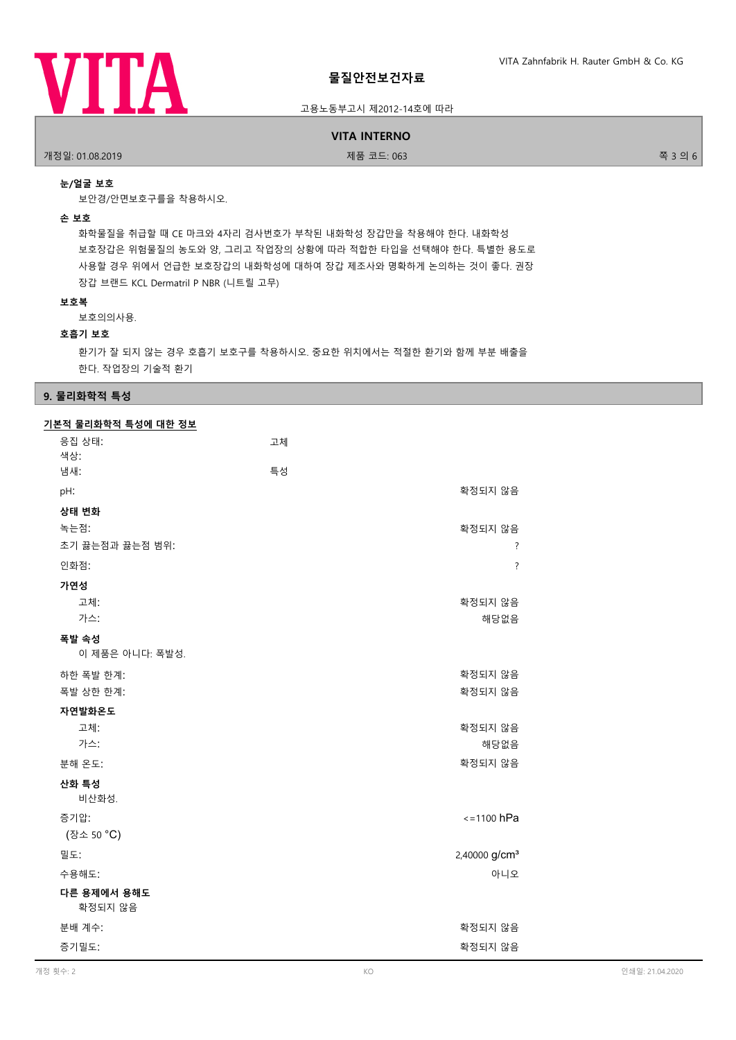

## 고용노동부고시 제2012-14호에 따라

#### **VITA INTERNO**

개정일: 01.08.2019 제품 코드: 063 쪽 3 의 6

## **눈/얼굴 보호**

보안경/안면보호구를을 착용하시오.

#### **손 보호**

화학물질을 취급할 때 CE 마크와 4자리 검사번호가 부착된 내화학성 장갑만을 착용해야 한다. 내화학성 보호장갑은 위험물질의 농도와 양, 그리고 작업장의 상황에 따라 적합한 타입을 선택해야 한다. 특별한 용도로 사용할 경우 위에서 언급한 보호장갑의 내화학성에 대하여 장갑 제조사와 명확하게 논의하는 것이 좋다. 권장 장갑 브랜드 KCL Dermatril P NBR (니트릴 고무)

#### **보호복**

보호의의사용.

## **호흡기 보호**

환기가 잘 되지 않는 경우 호흡기 보호구를 착용하시오. 중요한 위치에서는 적절한 환기와 함께 부분 배출을 한다. 작업장의 기술적 환기

## **9. 물리화학적 특성**

| 기본적 물리화학적 특성에 대한 정보    |    |                           |
|------------------------|----|---------------------------|
| 응집 상태:                 | 고체 |                           |
| 색상:                    |    |                           |
| 냄새:                    | 특성 |                           |
| pH:                    |    | 확정되지 않음                   |
| 상태 변화                  |    |                           |
| 녹는점:                   |    | 확정되지 않음                   |
| 초기 끓는점과 끓는점 범위:        |    | ?                         |
| 인화점:                   |    | $\overline{?}$            |
| 가연성                    |    |                           |
| 고체:                    |    | 확정되지 않음                   |
| 가스:                    |    | 해당없음                      |
| 폭발 속성                  |    |                           |
| 이 제품은 아니다: 폭발성.        |    |                           |
| 하한 폭발 한계:              |    | 확정되지 않음                   |
| 폭발 상한 한계:              |    | 확정되지 않음                   |
| 자연발화온도                 |    |                           |
| 고체:                    |    | 확정되지 않음                   |
| 가스:                    |    | 해당없음                      |
| 분해 온도:                 |    | 확정되지 않음                   |
| 산화 특성                  |    |                           |
| 비산화성.                  |    |                           |
| 증기압:                   |    | $\le$ =1100 hPa           |
| (장소 50 °C)             |    |                           |
| 밀도:                    |    | 2,40000 g/cm <sup>3</sup> |
| 수용해도:                  |    | 아니오                       |
| 다른 용제에서 용해도<br>확정되지 않음 |    |                           |
| 분배 계수:                 |    | 확정되지 않음                   |
| 증기밀도:                  |    | 확정되지 않음                   |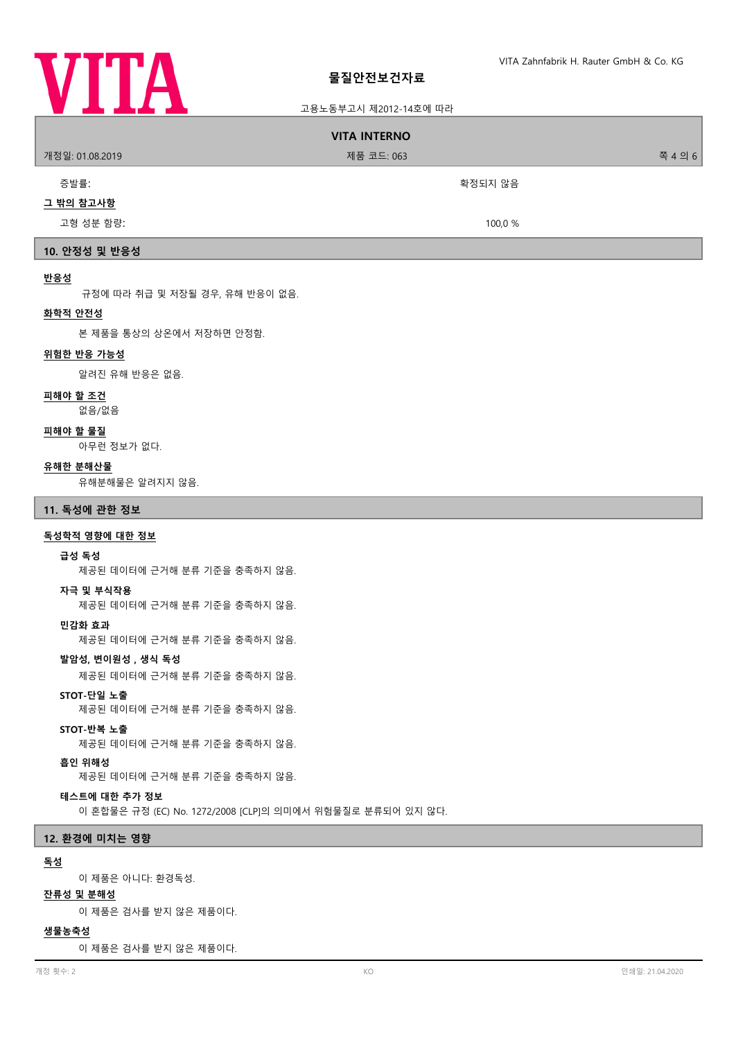

## 고용노동부고시 제2012-14호에 따라

# **VITA INTERNO** 개정일: 01.08.2019 제품 코드: 063 쪽 4 의 6 증발률: 참고 하는 사람들은 아이들은 아이들은 아이들에게 아주 아이들에게 아주 아이들에게 아주 아이들이 아주 있다. **그 밖의 참고사항** 고형 성분 함량: 100,0 % **10. 안정성 및 반응성 반응성** 규정에 따라 취급 및 저장될 경우, 유해 반응이 없음. **화학적 안전성** 본 제품을 통상의 상온에서 저장하면 안정함.

#### **위험한 반응 가능성**

알려진 유해 반응은 없음.

#### **피해야 할 조건**

없음/없음

## **피해야 할 물질**

아무런 정보가 없다.

#### **유해한 분해산물**

유해분해물은 알려지지 않음.

#### **11. 독성에 관한 정보**

## **독성학적 영향에 대한 정보**

## **급성 독성**

제공된 데이터에 근거해 분류 기준을 충족하지 않음.

#### **자극 및 부식작용**

제공된 데이터에 근거해 분류 기준을 충족하지 않음.

#### **민감화 효과**

제공된 데이터에 근거해 분류 기준을 충족하지 않음.

## **발암성, 변이원성 , 생식 독성**

제공된 데이터에 근거해 분류 기준을 충족하지 않음.

## **STOT-단일 노출**

제공된 데이터에 근거해 분류 기준을 충족하지 않음.

## **STOT-반복 노출**

제공된 데이터에 근거해 분류 기준을 충족하지 않음.

## **흡인 위해성**

제공된 데이터에 근거해 분류 기준을 충족하지 않음.

# **테스트에 대한 추가 정보**

이 혼합물은 규정 (EC) No. 1272/2008 [CLP]의 의미에서 위험물질로 분류되어 있지 않다.

## **12. 환경에 미치는 영향**

## **독성**

이 제품은 아니다: 환경독성.

## **잔류성 및 분해성**

이 제품은 검사를 받지 않은 제품이다.

#### **생물농축성**

이 제품은 검사를 받지 않은 제품이다.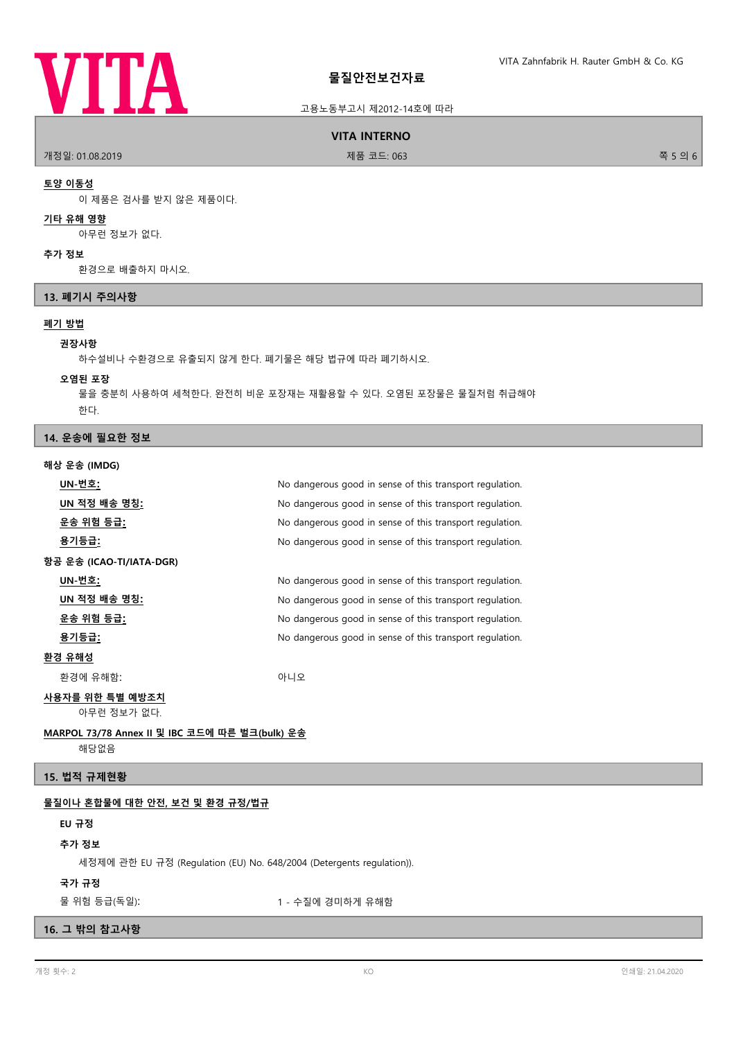

## 고용노동부고시 제2012-14호에 따라

#### **VITA INTERNO**

개정일: 01.08.2019 제품 코드: 063 쪽 5 의 6

#### **토양 이동성**

이 제품은 검사를 받지 않은 제품이다.

# **기타 유해 영향**

아무런 정보가 없다.

#### **추가 정보**

환경으로 배출하지 마시오.

## **13. 폐기시 주의사항**

# **폐기 방법**

#### **권장사항**

하수설비나 수환경으로 유출되지 않게 한다. 폐기물은 해당 법규에 따라 폐기하시오.

#### **오염된 포장**

물을 충분히 사용하여 세척한다. 완전히 비운 포장재는 재활용할 수 있다. 오염된 포장물은 물질처럼 취급해야 한다.

## **14. 운송에 필요한 정보**

**해상 운송 (IMDG)**

| UN-번호:                                         | No dangerous good in sense of this transport regulation. |  |
|------------------------------------------------|----------------------------------------------------------|--|
| UN 적정 배송 명칭:                                   | No dangerous good in sense of this transport regulation. |  |
| <u> 운송 위험 등급:</u>                              | No dangerous good in sense of this transport regulation. |  |
| <u>용기등급:</u>                                   | No dangerous good in sense of this transport regulation. |  |
| 항공 운송 (ICAO-TI/IATA-DGR)                       |                                                          |  |
| UN-번호:                                         | No dangerous good in sense of this transport regulation. |  |
| UN 적정 배송 명칭 <u>:</u>                           | No dangerous good in sense of this transport regulation. |  |
| <u>운송 위험 등급:</u>                               | No dangerous good in sense of this transport regulation. |  |
| 용기등급:                                          | No dangerous good in sense of this transport regulation. |  |
| 환경 유해성                                         |                                                          |  |
| 환경에 유해함:                                       | 아니오                                                      |  |
| 사용자를 위한 특별 예방조치                                |                                                          |  |
| 아무런 정보가 없다.                                    |                                                          |  |
| MARPOL 73/78 Annex II 및 IBC 코드에 따른 벌크(bulk) 운송 |                                                          |  |

해당없음

## **15. 법적 규제현황**

## **물질이나 혼합물에 대한 안전, 보건 및 환경 규정/법규**

#### **EU 규정**

## **추가 정보**

세정제에 관한 EU 규정 (Regulation (EU) No. 648/2004 (Detergents regulation)).

## **국가 규정**

물 위험 등급(독일): 1 - 수질에 경미하게 유해함

# **16. 그 밖의 참고사항**